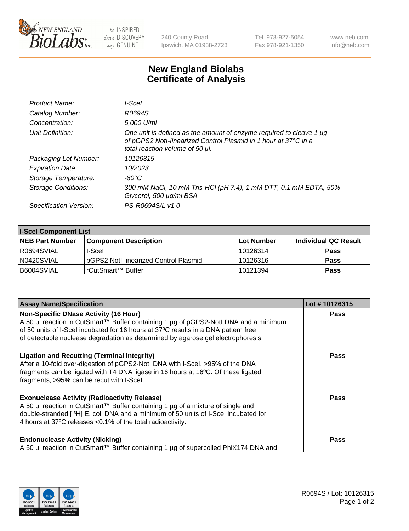

 $be$  INSPIRED drive DISCOVERY stay GENUINE

240 County Road Ipswich, MA 01938-2723 Tel 978-927-5054 Fax 978-921-1350 www.neb.com info@neb.com

## **New England Biolabs Certificate of Analysis**

| Product Name:           | I-Scel                                                                                                                                                                    |
|-------------------------|---------------------------------------------------------------------------------------------------------------------------------------------------------------------------|
| Catalog Number:         | R0694S                                                                                                                                                                    |
| Concentration:          | 5,000 U/ml                                                                                                                                                                |
| Unit Definition:        | One unit is defined as the amount of enzyme required to cleave 1 µg<br>of pGPS2 Notl-linearized Control Plasmid in 1 hour at 37°C in a<br>total reaction volume of 50 µl. |
| Packaging Lot Number:   | 10126315                                                                                                                                                                  |
| <b>Expiration Date:</b> | 10/2023                                                                                                                                                                   |
| Storage Temperature:    | -80°C                                                                                                                                                                     |
| Storage Conditions:     | 300 mM NaCl, 10 mM Tris-HCl (pH 7.4), 1 mM DTT, 0.1 mM EDTA, 50%<br>Glycerol, 500 µg/ml BSA                                                                               |
| Specification Version:  | PS-R0694S/L v1.0                                                                                                                                                          |

| <b>I-Scel Component List</b> |                                        |            |                      |  |
|------------------------------|----------------------------------------|------------|----------------------|--|
| <b>NEB Part Number</b>       | <b>Component Description</b>           | Lot Number | Individual QC Result |  |
| R0694SVIAL                   | I-Scel                                 | 10126314   | <b>Pass</b>          |  |
| N0420SVIAL                   | IpGPS2 Notl-linearized Control Plasmid | 10126316   | <b>Pass</b>          |  |
| B6004SVIAL                   | l rCutSmart™ Buffer_                   | 10121394   | <b>Pass</b>          |  |

| <b>Assay Name/Specification</b>                                                                                                                                                                                                                                                                                | Lot #10126315 |
|----------------------------------------------------------------------------------------------------------------------------------------------------------------------------------------------------------------------------------------------------------------------------------------------------------------|---------------|
| <b>Non-Specific DNase Activity (16 Hour)</b><br>A 50 µl reaction in CutSmart™ Buffer containing 1 µg of pGPS2-Notl DNA and a minimum<br>of 50 units of I-Scel incubated for 16 hours at 37°C results in a DNA pattern free<br>of detectable nuclease degradation as determined by agarose gel electrophoresis. | <b>Pass</b>   |
| <b>Ligation and Recutting (Terminal Integrity)</b><br>After a 10-fold over-digestion of pGPS2-Notl DNA with I-Scel, >95% of the DNA<br>fragments can be ligated with T4 DNA ligase in 16 hours at 16°C. Of these ligated<br>fragments, >95% can be recut with I-Scel.                                          | <b>Pass</b>   |
| <b>Exonuclease Activity (Radioactivity Release)</b><br>A 50 µl reaction in CutSmart™ Buffer containing 1 µg of a mixture of single and<br>double-stranded [3H] E. coli DNA and a minimum of 50 units of I-Scel incubated for<br>4 hours at 37°C releases < 0.1% of the total radioactivity.                    | <b>Pass</b>   |
| <b>Endonuclease Activity (Nicking)</b><br>A 50 µl reaction in CutSmart™ Buffer containing 1 µg of supercoiled PhiX174 DNA and                                                                                                                                                                                  | <b>Pass</b>   |